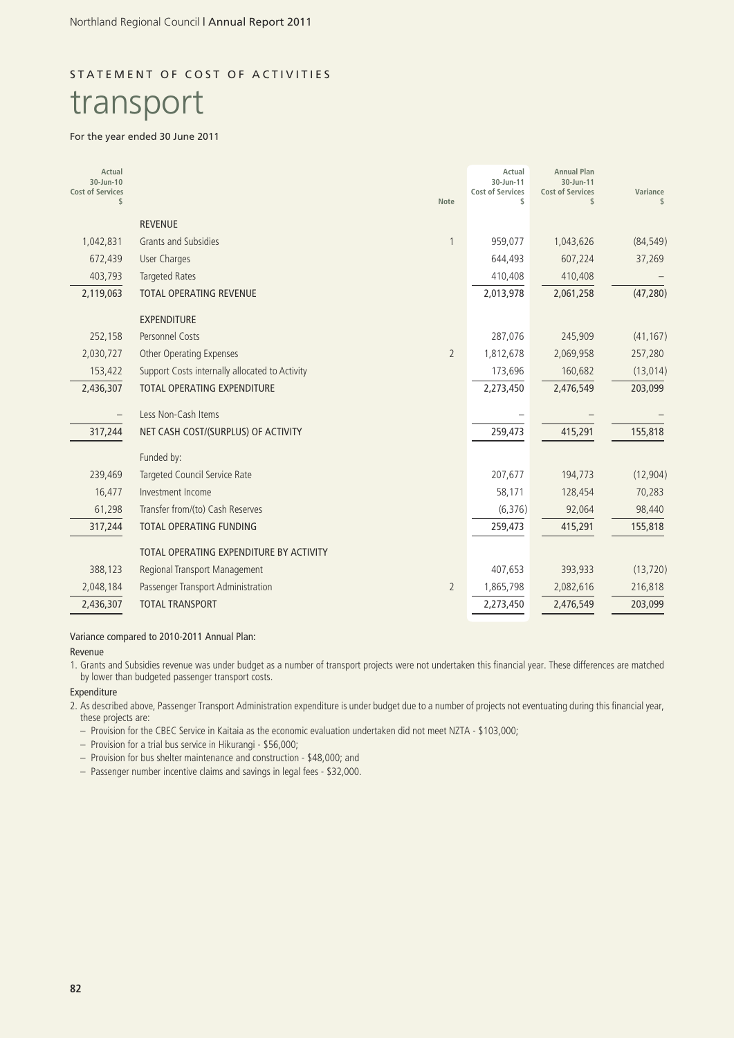# STATEMENT OF COST OF ACTIVITIES

# transport

#### For the year ended 30 June 2011

| Actual<br>30-Jun-10<br><b>Cost of Services</b><br>\$ |                                                | <b>Note</b>    | Actual<br>30-Jun-11<br><b>Cost of Services</b><br>\$ | <b>Annual Plan</b><br>30-Jun-11<br><b>Cost of Services</b><br>\$ | Variance<br>\$ |
|------------------------------------------------------|------------------------------------------------|----------------|------------------------------------------------------|------------------------------------------------------------------|----------------|
|                                                      | <b>REVENUE</b>                                 |                |                                                      |                                                                  |                |
| 1,042,831                                            | Grants and Subsidies                           |                | 959,077                                              | 1,043,626                                                        | (84, 549)      |
| 672,439                                              | <b>User Charges</b>                            |                | 644,493                                              | 607,224                                                          | 37,269         |
| 403,793                                              | <b>Targeted Rates</b>                          |                | 410,408                                              | 410,408                                                          |                |
| 2,119,063                                            | <b>TOTAL OPERATING REVENUE</b>                 |                | 2,013,978                                            | 2,061,258                                                        | (47, 280)      |
|                                                      | <b>EXPENDITURE</b>                             |                |                                                      |                                                                  |                |
| 252,158                                              | Personnel Costs                                |                | 287,076                                              | 245,909                                                          | (41, 167)      |
| 2,030,727                                            | Other Operating Expenses                       | $\overline{2}$ | 1,812,678                                            | 2,069,958                                                        | 257,280        |
| 153,422                                              | Support Costs internally allocated to Activity |                | 173,696                                              | 160,682                                                          | (13, 014)      |
| 2,436,307                                            | <b>TOTAL OPERATING EXPENDITURE</b>             |                | 2,273,450                                            | 2,476,549                                                        | 203,099        |
|                                                      | Less Non-Cash Items                            |                |                                                      |                                                                  |                |
| 317,244                                              | NET CASH COST/(SURPLUS) OF ACTIVITY            |                | 259,473                                              | 415,291                                                          | 155,818        |
|                                                      | Funded by:                                     |                |                                                      |                                                                  |                |
| 239,469                                              | Targeted Council Service Rate                  |                | 207,677                                              | 194,773                                                          | (12, 904)      |
| 16,477                                               | Investment Income                              |                | 58,171                                               | 128,454                                                          | 70,283         |
| 61,298                                               | Transfer from/(to) Cash Reserves               |                | (6, 376)                                             | 92,064                                                           | 98,440         |
| 317,244                                              | TOTAL OPERATING FUNDING                        |                | 259,473                                              | 415,291                                                          | 155,818        |
|                                                      | TOTAL OPERATING EXPENDITURE BY ACTIVITY        |                |                                                      |                                                                  |                |
| 388,123                                              | Regional Transport Management                  |                | 407,653                                              | 393,933                                                          | (13, 720)      |
| 2,048,184                                            | Passenger Transport Administration             | $\overline{2}$ | 1,865,798                                            | 2,082,616                                                        | 216,818        |
| 2,436,307                                            | <b>TOTAL TRANSPORT</b>                         |                | 2,273,450                                            | 2,476,549                                                        | 203,099        |

Variance compared to 2010-2011 Annual Plan:

#### Revenue

1. Grants and Subsidies revenue was under budget as a number of transport projects were not undertaken this financial year. These differences are matched by lower than budgeted passenger transport costs.

#### Expenditure

2. As described above, Passenger Transport Administration expenditure is under budget due to a number of projects not eventuating during this financial year, these projects are:

– Provision for the CBEC Service in Kaitaia as the economic evaluation undertaken did not meet NZTA - \$103,000;

– Provision for a trial bus service in Hikurangi - \$56,000;

– Provision for bus shelter maintenance and construction - \$48,000; and

– Passenger number incentive claims and savings in legal fees - \$32,000.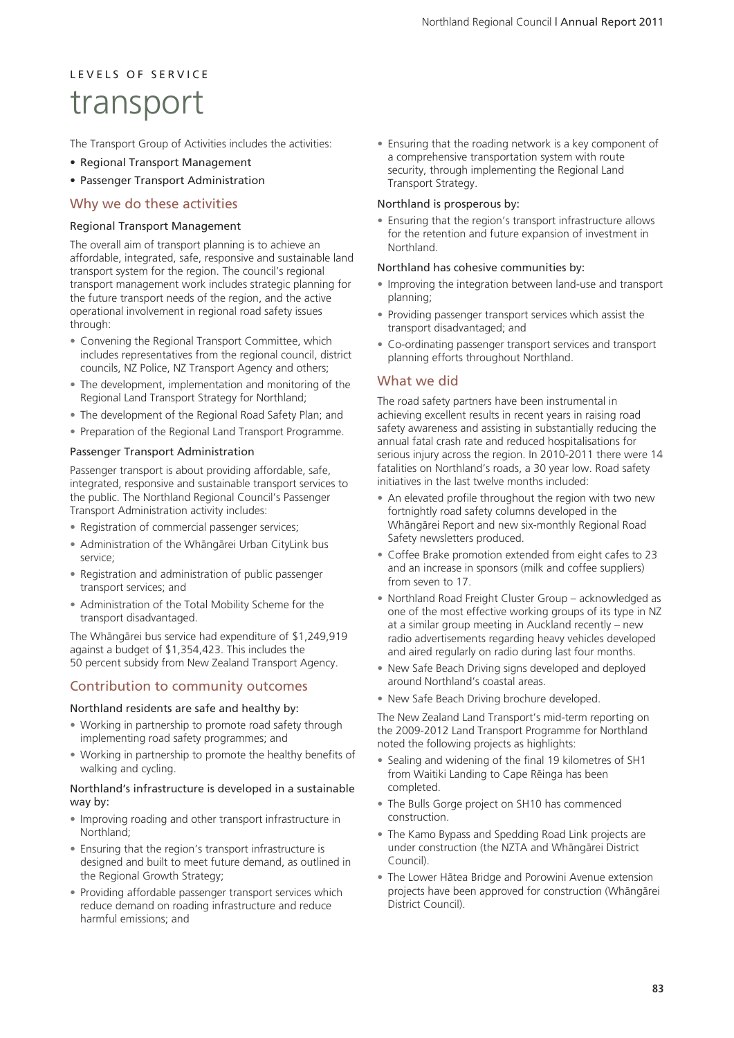# L E V E L S O E S E R V LC E transport

The Transport Group of Activities includes the activities:

- Regional Transport Management
- Passenger Transport Administration

### Why we do these activities

#### Regional Transport Management

The overall aim of transport planning is to achieve an affordable, integrated, safe, responsive and sustainable land transport system for the region. The council's regional transport management work includes strategic planning for the future transport needs of the region, and the active operational involvement in regional road safety issues through:

- Convening the Regional Transport Committee, which includes representatives from the regional council, district councils, NZ Police, NZ Transport Agency and others;
- The development, implementation and monitoring of the Regional Land Transport Strategy for Northland;
- The development of the Regional Road Safety Plan; and
- Preparation of the Regional Land Transport Programme.

#### Passenger Transport Administration

Passenger transport is about providing affordable, safe, integrated, responsive and sustainable transport services to the public. The Northland Regional Council's Passenger Transport Administration activity includes:

- Registration of commercial passenger services;
- Administration of the Whängärei Urban CityLink bus service;
- Registration and administration of public passenger transport services; and
- Administration of the Total Mobility Scheme for the transport disadvantaged.

The Whängärei bus service had expenditure of \$1,249,919 against a budget of \$1,354,423. This includes the 50 percent subsidy from New Zealand Transport Agency.

### Contribution to community outcomes

#### Northland residents are safe and healthy by:

- Working in partnership to promote road safety through implementing road safety programmes; and
- Working in partnership to promote the healthy benefits of walking and cycling.

#### Northland's infrastructure is developed in a sustainable way by:

- Improving roading and other transport infrastructure in Northland;
- Ensuring that the region's transport infrastructure is designed and built to meet future demand, as outlined in the Regional Growth Strategy;
- Providing affordable passenger transport services which reduce demand on roading infrastructure and reduce harmful emissions; and

• Ensuring that the roading network is a key component of a comprehensive transportation system with route security, through implementing the Regional Land Transport Strategy.

#### Northland is prosperous by:

• Ensuring that the region's transport infrastructure allows for the retention and future expansion of investment in **Northland** 

#### Northland has cohesive communities by:

- Improving the integration between land-use and transport planning;
- Providing passenger transport services which assist the transport disadvantaged; and
- Co-ordinating passenger transport services and transport planning efforts throughout Northland.

### What we did

The road safety partners have been instrumental in achieving excellent results in recent years in raising road safety awareness and assisting in substantially reducing the annual fatal crash rate and reduced hospitalisations for serious injury across the region. In 2010-2011 there were 14 fatalities on Northland's roads, a 30 year low. Road safety initiatives in the last twelve months included:

- An elevated profile throughout the region with two new fortnightly road safety columns developed in the Whängärei Report and new six-monthly Regional Road Safety newsletters produced.
- Coffee Brake promotion extended from eight cafes to 23 and an increase in sponsors (milk and coffee suppliers) from seven to 17.
- Northland Road Freight Cluster Group acknowledged as one of the most effective working groups of its type in NZ at a similar group meeting in Auckland recently – new radio advertisements regarding heavy vehicles developed and aired regularly on radio during last four months.
- New Safe Beach Driving signs developed and deployed around Northland's coastal areas.
- New Safe Beach Driving brochure developed.

The New Zealand Land Transport's mid-term reporting on the 2009-2012 Land Transport Programme for Northland noted the following projects as highlights:

- Sealing and widening of the final 19 kilometres of SH1 from Waitiki Landing to Cape Rëinga has been completed.
- The Bulls Gorge project on SH10 has commenced construction.
- The Kamo Bypass and Spedding Road Link projects are under construction (the NZTA and Whängärei District Council).
- The Lower Hätea Bridge and Porowini Avenue extension projects have been approved for construction (Whängärei District Council).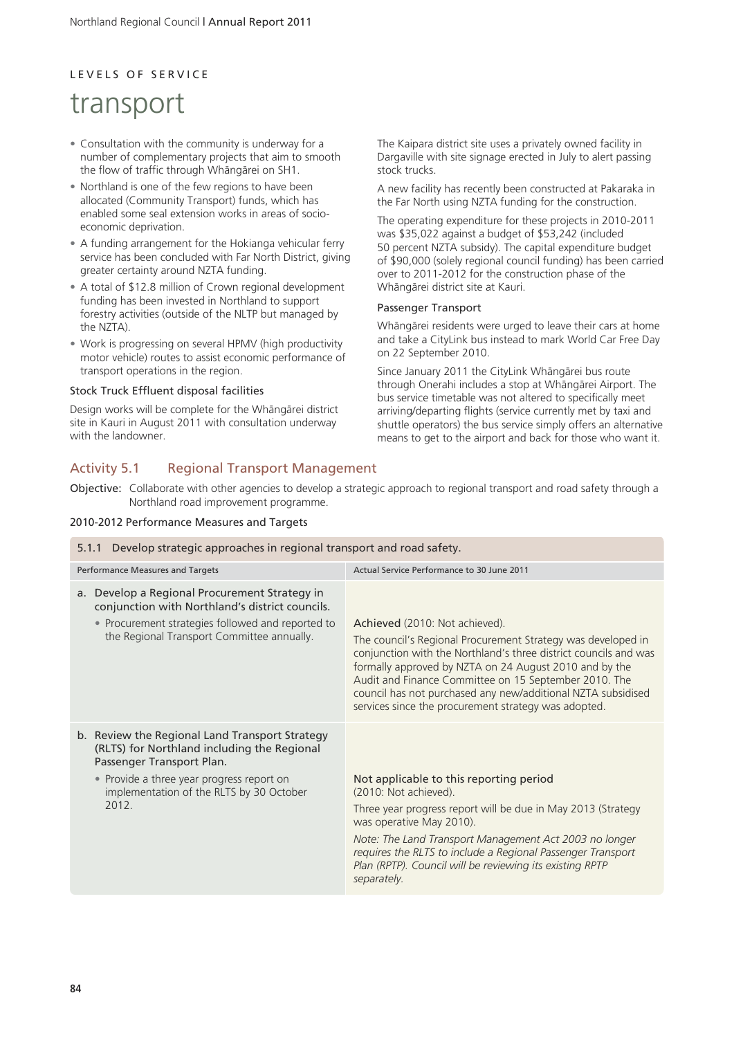# L E V E L S O F S E R V I C E

# transport

- Consultation with the community is underway for a number of complementary projects that aim to smooth the flow of traffic through Whängärei on SH1.
- Northland is one of the few regions to have been allocated (Community Transport) funds, which has enabled some seal extension works in areas of socioeconomic deprivation.
- A funding arrangement for the Hokianga vehicular ferry service has been concluded with Far North District, giving greater certainty around NZTA funding.
- A total of \$12.8 million of Crown regional development funding has been invested in Northland to support forestry activities (outside of the NLTP but managed by the NZTA).
- Work is progressing on several HPMV (high productivity motor vehicle) routes to assist economic performance of transport operations in the region.

#### Stock Truck Effluent disposal facilities

Design works will be complete for the Whängärei district site in Kauri in August 2011 with consultation underway with the landowner.

The Kaipara district site uses a privately owned facility in Dargaville with site signage erected in July to alert passing stock trucks.

A new facility has recently been constructed at Pakaraka in the Far North using NZTA funding for the construction.

The operating expenditure for these projects in 2010-2011 was \$35,022 against a budget of \$53,242 (included 50 percent NZTA subsidy). The capital expenditure budget of \$90,000 (solely regional council funding) has been carried over to 2011-2012 for the construction phase of the Whängärei district site at Kauri.

#### Passenger Transport

Whängärei residents were urged to leave their cars at home and take a CityLink bus instead to mark World Car Free Day on 22 September 2010.

Since January 2011 the CityLink Whängärei bus route through Onerahi includes a stop at Whängärei Airport. The bus service timetable was not altered to specifically meet arriving/departing flights (service currently met by taxi and shuttle operators) the bus service simply offers an alternative means to get to the airport and back for those who want it.

## Activity 5.1 Regional Transport Management

Objective: Collaborate with other agencies to develop a strategic approach to regional transport and road safety through a Northland road improvement programme.

#### 2010-2012 Performance Measures and Targets

| Develop strategic approaches in regional transport and road safety.<br>5.1.1                                                                                                                                                 |                                                                                                                                                                                                                                                                                                                                                                                                               |  |  |
|------------------------------------------------------------------------------------------------------------------------------------------------------------------------------------------------------------------------------|---------------------------------------------------------------------------------------------------------------------------------------------------------------------------------------------------------------------------------------------------------------------------------------------------------------------------------------------------------------------------------------------------------------|--|--|
| <b>Performance Measures and Targets</b>                                                                                                                                                                                      | Actual Service Performance to 30 June 2011                                                                                                                                                                                                                                                                                                                                                                    |  |  |
| Develop a Regional Procurement Strategy in<br>a.<br>conjunction with Northland's district councils.<br>• Procurement strategies followed and reported to<br>the Regional Transport Committee annually.                       | Achieved (2010: Not achieved).<br>The council's Regional Procurement Strategy was developed in<br>conjunction with the Northland's three district councils and was<br>formally approved by NZTA on 24 August 2010 and by the<br>Audit and Finance Committee on 15 September 2010. The<br>council has not purchased any new/additional NZTA subsidised<br>services since the procurement strategy was adopted. |  |  |
| b. Review the Regional Land Transport Strategy<br>(RLTS) for Northland including the Regional<br>Passenger Transport Plan.<br>• Provide a three year progress report on<br>implementation of the RLTS by 30 October<br>2012. | Not applicable to this reporting period<br>(2010: Not achieved).<br>Three year progress report will be due in May 2013 (Strategy<br>was operative May 2010).<br>Note: The Land Transport Management Act 2003 no longer<br>requires the RLTS to include a Regional Passenger Transport<br>Plan (RPTP). Council will be reviewing its existing RPTP<br>separately.                                              |  |  |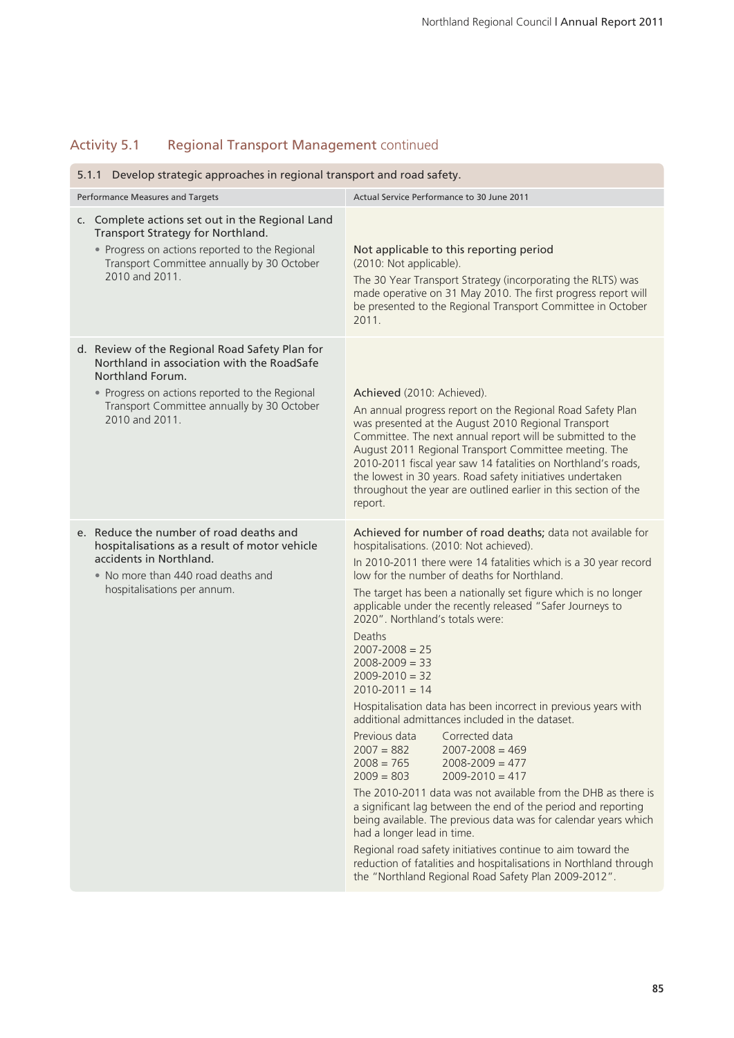## Activity 5.1 Regional Transport Management continued

| 5.1.1 Develop strategic approaches in regional transport and road safety.                                                                                                                                                          |                                                                                                                                                                                                                                                                                                                                                                                                                                                                                                                                                                                                                                                                                                                                                                                                                                                                                                                                                                                                                                                                                                                                                                                                         |  |  |  |
|------------------------------------------------------------------------------------------------------------------------------------------------------------------------------------------------------------------------------------|---------------------------------------------------------------------------------------------------------------------------------------------------------------------------------------------------------------------------------------------------------------------------------------------------------------------------------------------------------------------------------------------------------------------------------------------------------------------------------------------------------------------------------------------------------------------------------------------------------------------------------------------------------------------------------------------------------------------------------------------------------------------------------------------------------------------------------------------------------------------------------------------------------------------------------------------------------------------------------------------------------------------------------------------------------------------------------------------------------------------------------------------------------------------------------------------------------|--|--|--|
| Performance Measures and Targets                                                                                                                                                                                                   | Actual Service Performance to 30 June 2011                                                                                                                                                                                                                                                                                                                                                                                                                                                                                                                                                                                                                                                                                                                                                                                                                                                                                                                                                                                                                                                                                                                                                              |  |  |  |
| c. Complete actions set out in the Regional Land<br>Transport Strategy for Northland.<br>• Progress on actions reported to the Regional<br>Transport Committee annually by 30 October<br>2010 and 2011.                            | Not applicable to this reporting period<br>(2010: Not applicable).<br>The 30 Year Transport Strategy (incorporating the RLTS) was<br>made operative on 31 May 2010. The first progress report will<br>be presented to the Regional Transport Committee in October<br>2011                                                                                                                                                                                                                                                                                                                                                                                                                                                                                                                                                                                                                                                                                                                                                                                                                                                                                                                               |  |  |  |
| d. Review of the Regional Road Safety Plan for<br>Northland in association with the RoadSafe<br>Northland Forum.<br>• Progress on actions reported to the Regional<br>Transport Committee annually by 30 October<br>2010 and 2011. | Achieved (2010: Achieved).<br>An annual progress report on the Regional Road Safety Plan<br>was presented at the August 2010 Regional Transport<br>Committee. The next annual report will be submitted to the<br>August 2011 Regional Transport Committee meeting. The<br>2010-2011 fiscal year saw 14 fatalities on Northland's roads,<br>the lowest in 30 years. Road safety initiatives undertaken<br>throughout the year are outlined earlier in this section of the<br>report.                                                                                                                                                                                                                                                                                                                                                                                                                                                                                                                                                                                                                                                                                                                     |  |  |  |
| e. Reduce the number of road deaths and<br>hospitalisations as a result of motor vehicle<br>accidents in Northland.<br>. No more than 440 road deaths and<br>hospitalisations per annum.                                           | Achieved for number of road deaths; data not available for<br>hospitalisations. (2010: Not achieved).<br>In 2010-2011 there were 14 fatalities which is a 30 year record<br>low for the number of deaths for Northland.<br>The target has been a nationally set figure which is no longer<br>applicable under the recently released "Safer Journeys to<br>2020". Northland's totals were:<br>Deaths<br>$2007 - 2008 = 25$<br>$2008 - 2009 = 33$<br>$2009 - 2010 = 32$<br>$2010 - 2011 = 14$<br>Hospitalisation data has been incorrect in previous years with<br>additional admittances included in the dataset.<br>Previous data<br>Corrected data<br>$2007 = 882$<br>$2007 - 2008 = 469$<br>$2008 = 765$<br>$2008 - 2009 = 477$<br>$2009 = 803$<br>$2009 - 2010 = 417$<br>The 2010-2011 data was not available from the DHB as there is<br>a significant lag between the end of the period and reporting<br>being available. The previous data was for calendar years which<br>had a longer lead in time.<br>Regional road safety initiatives continue to aim toward the<br>reduction of fatalities and hospitalisations in Northland through<br>the "Northland Regional Road Safety Plan 2009-2012". |  |  |  |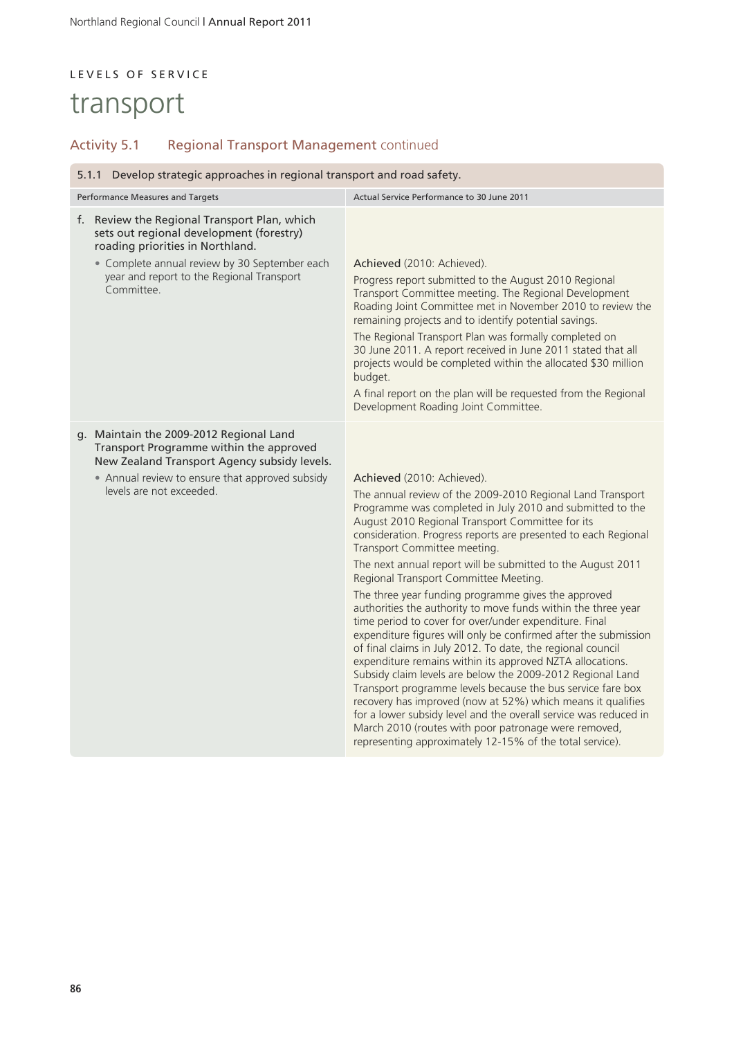# L E V E L S O F S E R V I C E

# transport

## Activity 5.1 Regional Transport Management continued

| 5.1.1 Develop strategic approaches in regional transport and road safety.                                                                                                                                                                |                                                                                                                                                                                                                                                                                                                                                                                                                                                                                                                                                                                                                                                                                                                                                                                                                                                                                                                                                                                                                                                                                                                                                                                          |  |  |
|------------------------------------------------------------------------------------------------------------------------------------------------------------------------------------------------------------------------------------------|------------------------------------------------------------------------------------------------------------------------------------------------------------------------------------------------------------------------------------------------------------------------------------------------------------------------------------------------------------------------------------------------------------------------------------------------------------------------------------------------------------------------------------------------------------------------------------------------------------------------------------------------------------------------------------------------------------------------------------------------------------------------------------------------------------------------------------------------------------------------------------------------------------------------------------------------------------------------------------------------------------------------------------------------------------------------------------------------------------------------------------------------------------------------------------------|--|--|
| Performance Measures and Targets                                                                                                                                                                                                         | Actual Service Performance to 30 June 2011                                                                                                                                                                                                                                                                                                                                                                                                                                                                                                                                                                                                                                                                                                                                                                                                                                                                                                                                                                                                                                                                                                                                               |  |  |
| f. Review the Regional Transport Plan, which<br>sets out regional development (forestry)<br>roading priorities in Northland.<br>• Complete annual review by 30 September each<br>year and report to the Regional Transport<br>Committee. | Achieved (2010: Achieved).<br>Progress report submitted to the August 2010 Regional<br>Transport Committee meeting. The Regional Development<br>Roading Joint Committee met in November 2010 to review the<br>remaining projects and to identify potential savings.<br>The Regional Transport Plan was formally completed on<br>30 June 2011. A report received in June 2011 stated that all<br>projects would be completed within the allocated \$30 million<br>budget.<br>A final report on the plan will be requested from the Regional<br>Development Roading Joint Committee.                                                                                                                                                                                                                                                                                                                                                                                                                                                                                                                                                                                                       |  |  |
| g. Maintain the 2009-2012 Regional Land<br>Transport Programme within the approved<br>New Zealand Transport Agency subsidy levels.<br>• Annual review to ensure that approved subsidy<br>levels are not exceeded.                        | Achieved (2010: Achieved).<br>The annual review of the 2009-2010 Regional Land Transport<br>Programme was completed in July 2010 and submitted to the<br>August 2010 Regional Transport Committee for its<br>consideration. Progress reports are presented to each Regional<br>Transport Committee meeting.<br>The next annual report will be submitted to the August 2011<br>Regional Transport Committee Meeting.<br>The three year funding programme gives the approved<br>authorities the authority to move funds within the three year<br>time period to cover for over/under expenditure. Final<br>expenditure figures will only be confirmed after the submission<br>of final claims in July 2012. To date, the regional council<br>expenditure remains within its approved NZTA allocations.<br>Subsidy claim levels are below the 2009-2012 Regional Land<br>Transport programme levels because the bus service fare box<br>recovery has improved (now at 52%) which means it qualifies<br>for a lower subsidy level and the overall service was reduced in<br>March 2010 (routes with poor patronage were removed,<br>representing approximately 12-15% of the total service). |  |  |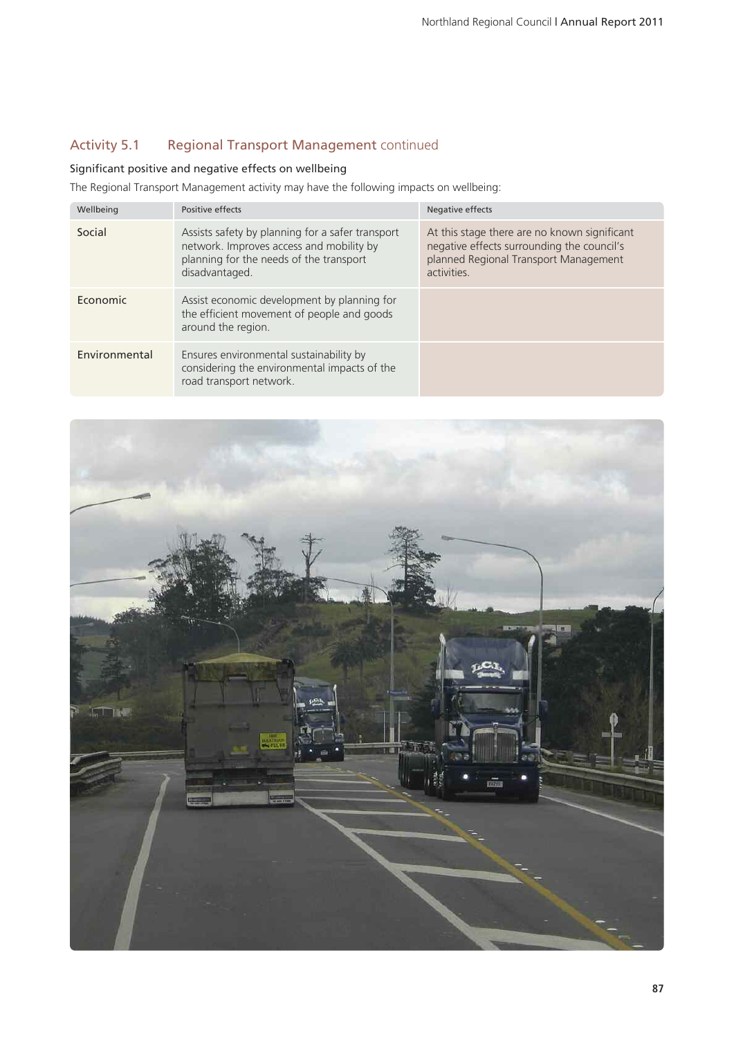## Activity 5.1 Regional Transport Management continued

### Significant positive and negative effects on wellbeing

The Regional Transport Management activity may have the following impacts on wellbeing:

| Wellbeing     | Positive effects                                                                                                                                          | Negative effects                                                                                                                                   |
|---------------|-----------------------------------------------------------------------------------------------------------------------------------------------------------|----------------------------------------------------------------------------------------------------------------------------------------------------|
| Social        | Assists safety by planning for a safer transport<br>network. Improves access and mobility by<br>planning for the needs of the transport<br>disadvantaged. | At this stage there are no known significant<br>negative effects surrounding the council's<br>planned Regional Transport Management<br>activities. |
| Economic      | Assist economic development by planning for<br>the efficient movement of people and goods<br>around the region.                                           |                                                                                                                                                    |
| Environmental | Ensures environmental sustainability by<br>considering the environmental impacts of the<br>road transport network.                                        |                                                                                                                                                    |

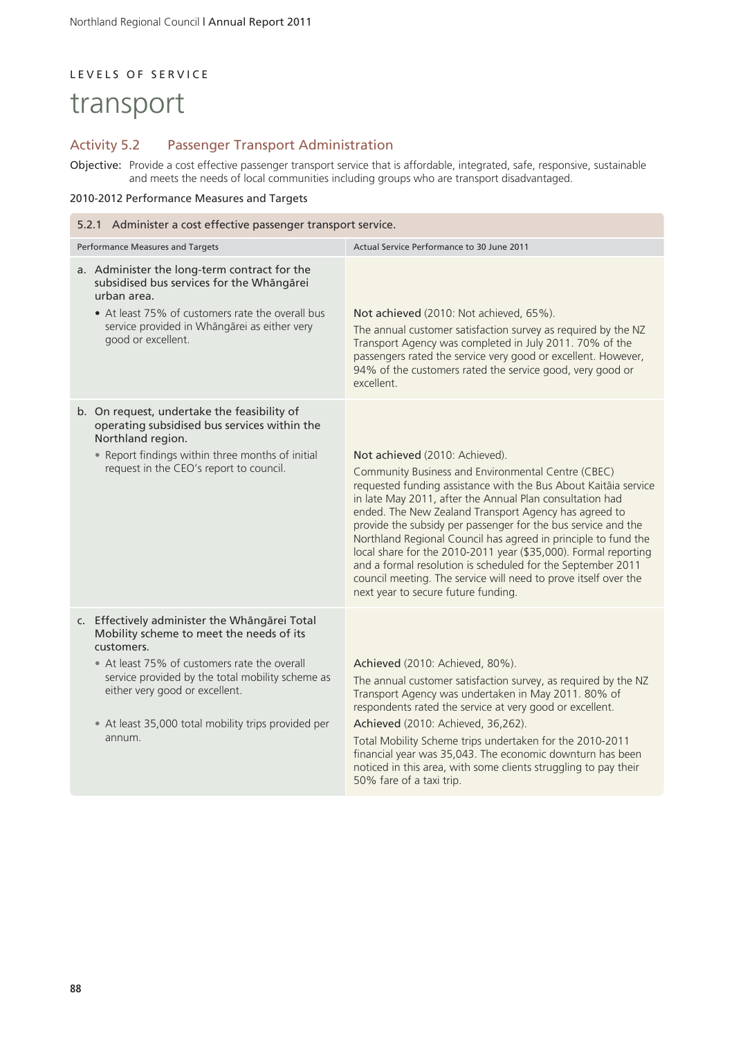## LEVELS OF SERVICE

# transport

### Activity 5.2 Passenger Transport Administration

Objective: Provide a cost effective passenger transport service that is affordable, integrated, safe, responsive, sustainable and meets the needs of local communities including groups who are transport disadvantaged.

### 2010-2012 Performance Measures and Targets

| 5.2.1 Administer a cost effective passenger transport service.                                                                                                                                                                                                                                                 |                                                                                                                                                                                                                                                                                                                                                                                                                                                                                                                                                                                                                                                             |  |  |  |
|----------------------------------------------------------------------------------------------------------------------------------------------------------------------------------------------------------------------------------------------------------------------------------------------------------------|-------------------------------------------------------------------------------------------------------------------------------------------------------------------------------------------------------------------------------------------------------------------------------------------------------------------------------------------------------------------------------------------------------------------------------------------------------------------------------------------------------------------------------------------------------------------------------------------------------------------------------------------------------------|--|--|--|
| Performance Measures and Targets                                                                                                                                                                                                                                                                               | Actual Service Performance to 30 June 2011                                                                                                                                                                                                                                                                                                                                                                                                                                                                                                                                                                                                                  |  |  |  |
| a. Administer the long-term contract for the<br>subsidised bus services for the Whāngārei<br>urban area.<br>• At least 75% of customers rate the overall bus<br>service provided in Whāngārei as either very<br>good or excellent.                                                                             | Not achieved (2010: Not achieved, 65%).<br>The annual customer satisfaction survey as required by the NZ<br>Transport Agency was completed in July 2011. 70% of the<br>passengers rated the service very good or excellent. However,<br>94% of the customers rated the service good, very good or<br>excellent.                                                                                                                                                                                                                                                                                                                                             |  |  |  |
| b. On request, undertake the feasibility of<br>operating subsidised bus services within the<br>Northland region.<br>. Report findings within three months of initial<br>request in the CEO's report to council.                                                                                                | Not achieved (2010: Achieved).<br>Community Business and Environmental Centre (CBEC)<br>requested funding assistance with the Bus About Kaitāia service<br>in late May 2011, after the Annual Plan consultation had<br>ended. The New Zealand Transport Agency has agreed to<br>provide the subsidy per passenger for the bus service and the<br>Northland Regional Council has agreed in principle to fund the<br>local share for the 2010-2011 year (\$35,000). Formal reporting<br>and a formal resolution is scheduled for the September 2011<br>council meeting. The service will need to prove itself over the<br>next year to secure future funding. |  |  |  |
| c. Effectively administer the Whāngārei Total<br>Mobility scheme to meet the needs of its<br>customers.<br>• At least 75% of customers rate the overall<br>service provided by the total mobility scheme as<br>either very good or excellent.<br>• At least 35,000 total mobility trips provided per<br>annum. | Achieved (2010: Achieved, 80%).<br>The annual customer satisfaction survey, as required by the NZ<br>Transport Agency was undertaken in May 2011. 80% of<br>respondents rated the service at very good or excellent.<br>Achieved (2010: Achieved, 36,262).<br>Total Mobility Scheme trips undertaken for the 2010-2011<br>financial year was 35,043. The economic downturn has been<br>noticed in this area, with some clients struggling to pay their<br>50% fare of a taxi trip.                                                                                                                                                                          |  |  |  |